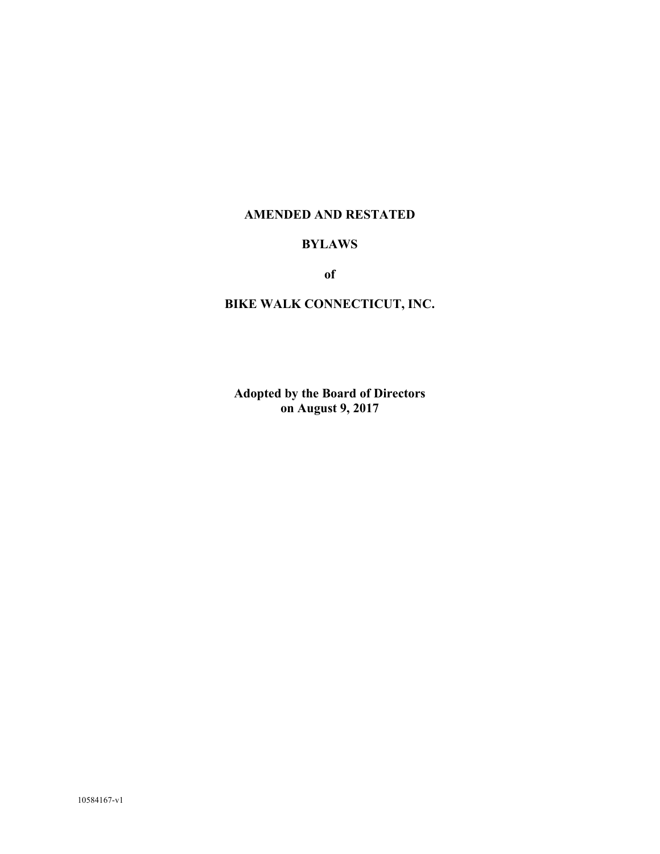## **AMENDED AND RESTATED**

## **BYLAWS**

**of**

# **BIKE WALK CONNECTICUT, INC.**

**Adopted by the Board of Directors on August 9, 2017**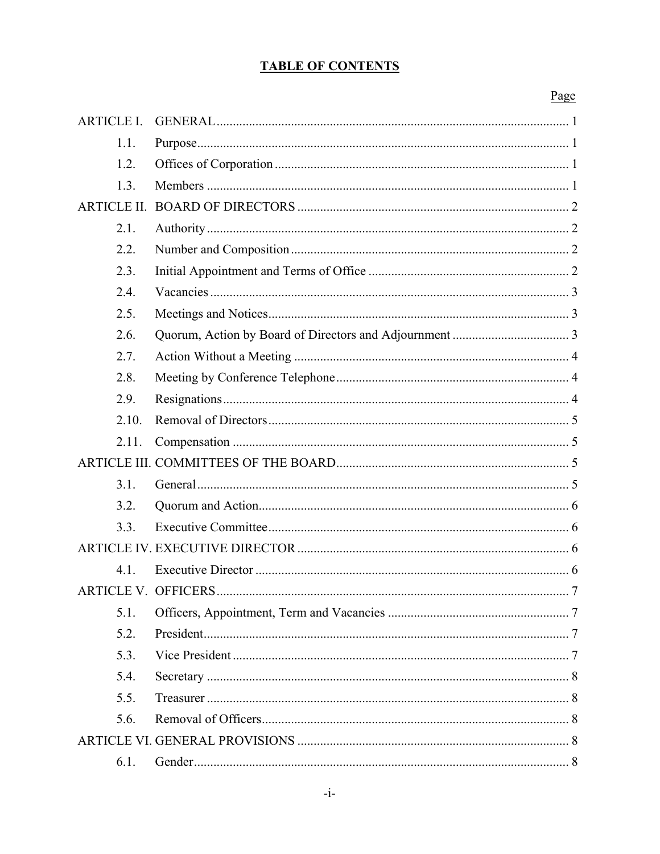## **TABLE OF CONTENTS**

## Page

| <b>ARTICLE I.</b>         |   |
|---------------------------|---|
| 1.1.                      |   |
| 1.2.                      |   |
| 1.3.                      |   |
| <b>ARTICLE II.</b>        |   |
| 2.1.                      |   |
| 2.2.                      |   |
| 2.3.                      |   |
| 2.4.                      |   |
| 2.5.                      |   |
| 2.6.                      |   |
| 2.7.                      |   |
| 2.8.                      |   |
| 2.9.                      |   |
| 2.10.                     |   |
| 2.11.                     |   |
|                           |   |
| 3.1.                      |   |
| 3.2.                      |   |
| 3.3.                      |   |
|                           |   |
| 4.1.                      |   |
| <b>ARTICLE V OFFICERS</b> | 7 |
| 5.1.                      |   |
| 5.2.                      |   |
| 5.3.                      |   |
| 5.4.                      |   |
| 5.5.                      |   |
| 5.6.                      |   |
|                           |   |
| 6.1.                      |   |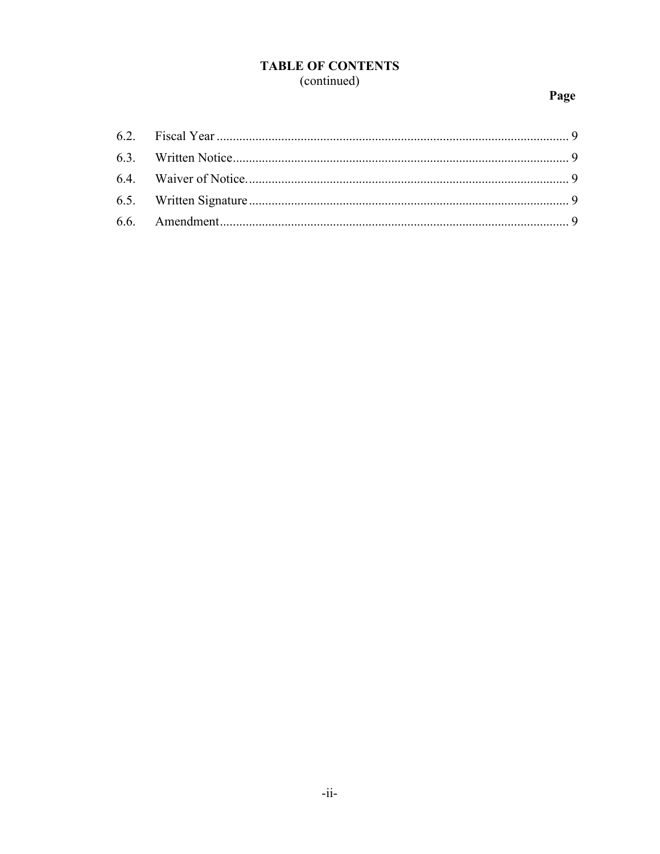# **TABLE OF CONTENTS** (continued)

# Page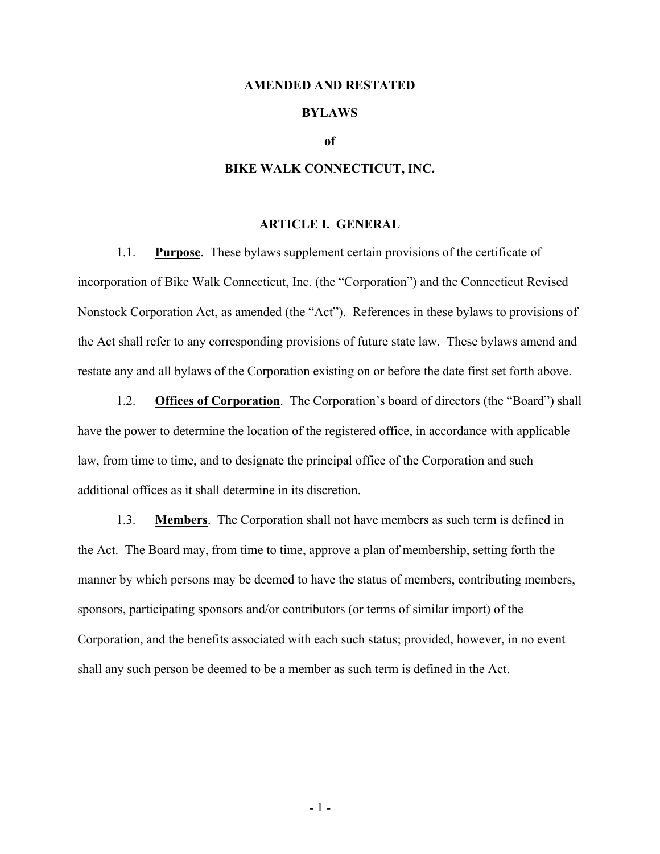#### **AMENDED AND RESTATED**

## **BYLAWS**

#### **of**

#### **BIKE WALK CONNECTICUT, INC.**

#### **ARTICLE I. GENERAL**

1.1. **Purpose**. These bylaws supplement certain provisions of the certificate of incorporation of Bike Walk Connecticut, Inc. (the "Corporation") and the Connecticut Revised Nonstock Corporation Act, as amended (the "Act"). References in these bylaws to provisions of the Act shall refer to any corresponding provisions of future state law. These bylaws amend and restate any and all bylaws of the Corporation existing on or before the date first set forth above.

1.2. **Offices of Corporation**. The Corporation's board of directors (the "Board") shall have the power to determine the location of the registered office, in accordance with applicable law, from time to time, and to designate the principal office of the Corporation and such additional offices as it shall determine in its discretion.

1.3. **Members**. The Corporation shall not have members as such term is defined in the Act. The Board may, from time to time, approve a plan of membership, setting forth the manner by which persons may be deemed to have the status of members, contributing members, sponsors, participating sponsors and/or contributors (or terms of similar import) of the Corporation, and the benefits associated with each such status; provided, however, in no event shall any such person be deemed to be a member as such term is defined in the Act.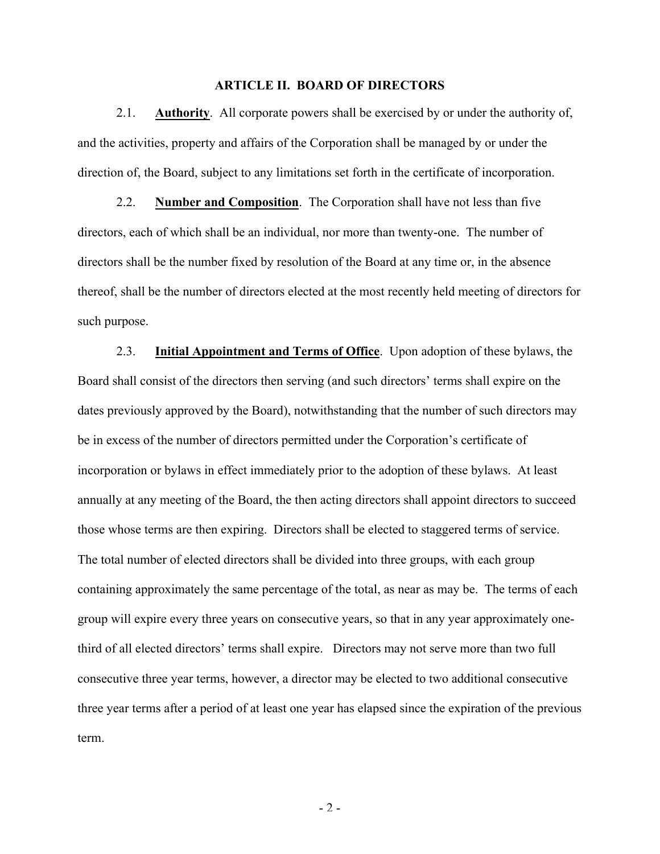### **ARTICLE II. BOARD OF DIRECTORS**

2.1. **Authority**. All corporate powers shall be exercised by or under the authority of, and the activities, property and affairs of the Corporation shall be managed by or under the direction of, the Board, subject to any limitations set forth in the certificate of incorporation.

2.2. **Number and Composition**. The Corporation shall have not less than five directors, each of which shall be an individual, nor more than twenty-one. The number of directors shall be the number fixed by resolution of the Board at any time or, in the absence thereof, shall be the number of directors elected at the most recently held meeting of directors for such purpose.

2.3. **Initial Appointment and Terms of Office**. Upon adoption of these bylaws, the Board shall consist of the directors then serving (and such directors' terms shall expire on the dates previously approved by the Board), notwithstanding that the number of such directors may be in excess of the number of directors permitted under the Corporation's certificate of incorporation or bylaws in effect immediately prior to the adoption of these bylaws. At least annually at any meeting of the Board, the then acting directors shall appoint directors to succeed those whose terms are then expiring. Directors shall be elected to staggered terms of service. The total number of elected directors shall be divided into three groups, with each group containing approximately the same percentage of the total, as near as may be. The terms of each group will expire every three years on consecutive years, so that in any year approximately onethird of all elected directors' terms shall expire. Directors may not serve more than two full consecutive three year terms, however, a director may be elected to two additional consecutive three year terms after a period of at least one year has elapsed since the expiration of the previous term.

- 2 -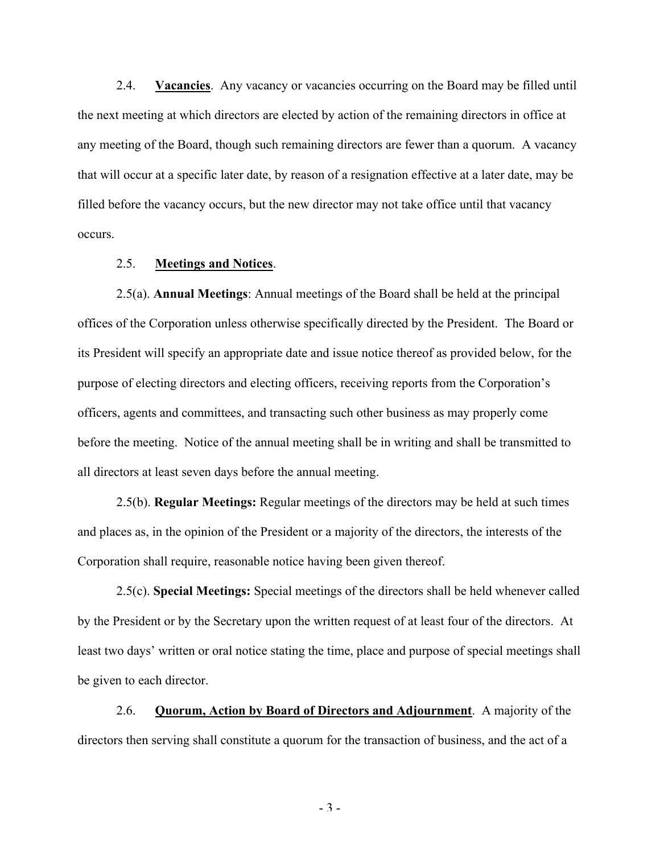2.4. **Vacancies**. Any vacancy or vacancies occurring on the Board may be filled until the next meeting at which directors are elected by action of the remaining directors in office at any meeting of the Board, though such remaining directors are fewer than a quorum. A vacancy that will occur at a specific later date, by reason of a resignation effective at a later date, may be filled before the vacancy occurs, but the new director may not take office until that vacancy occurs.

### 2.5. **Meetings and Notices**.

2.5(a). **Annual Meetings**: Annual meetings of the Board shall be held at the principal offices of the Corporation unless otherwise specifically directed by the President. The Board or its President will specify an appropriate date and issue notice thereof as provided below, for the purpose of electing directors and electing officers, receiving reports from the Corporation's officers, agents and committees, and transacting such other business as may properly come before the meeting. Notice of the annual meeting shall be in writing and shall be transmitted to all directors at least seven days before the annual meeting.

2.5(b). **Regular Meetings:** Regular meetings of the directors may be held at such times and places as, in the opinion of the President or a majority of the directors, the interests of the Corporation shall require, reasonable notice having been given thereof.

2.5(c). **Special Meetings:** Special meetings of the directors shall be held whenever called by the President or by the Secretary upon the written request of at least four of the directors. At least two days' written or oral notice stating the time, place and purpose of special meetings shall be given to each director.

2.6. **Quorum, Action by Board of Directors and Adjournment**. A majority of the directors then serving shall constitute a quorum for the transaction of business, and the act of a

- 3 -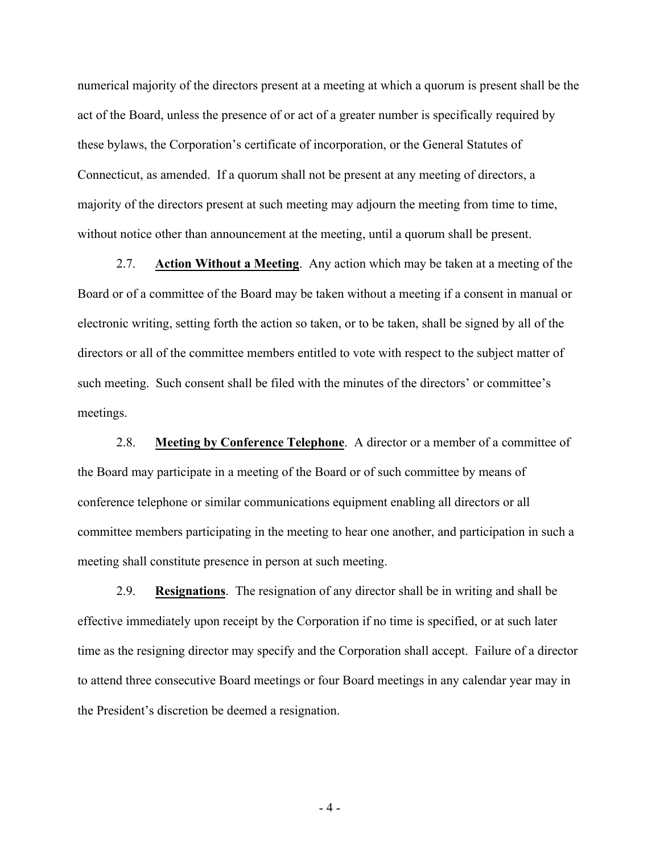numerical majority of the directors present at a meeting at which a quorum is present shall be the act of the Board, unless the presence of or act of a greater number is specifically required by these bylaws, the Corporation's certificate of incorporation, or the General Statutes of Connecticut, as amended. If a quorum shall not be present at any meeting of directors, a majority of the directors present at such meeting may adjourn the meeting from time to time, without notice other than announcement at the meeting, until a quorum shall be present.

2.7. **Action Without a Meeting**. Any action which may be taken at a meeting of the Board or of a committee of the Board may be taken without a meeting if a consent in manual or electronic writing, setting forth the action so taken, or to be taken, shall be signed by all of the directors or all of the committee members entitled to vote with respect to the subject matter of such meeting. Such consent shall be filed with the minutes of the directors' or committee's meetings.

2.8. **Meeting by Conference Telephone**. A director or a member of a committee of the Board may participate in a meeting of the Board or of such committee by means of conference telephone or similar communications equipment enabling all directors or all committee members participating in the meeting to hear one another, and participation in such a meeting shall constitute presence in person at such meeting.

2.9. **Resignations**. The resignation of any director shall be in writing and shall be effective immediately upon receipt by the Corporation if no time is specified, or at such later time as the resigning director may specify and the Corporation shall accept. Failure of a director to attend three consecutive Board meetings or four Board meetings in any calendar year may in the President's discretion be deemed a resignation.

- 4 -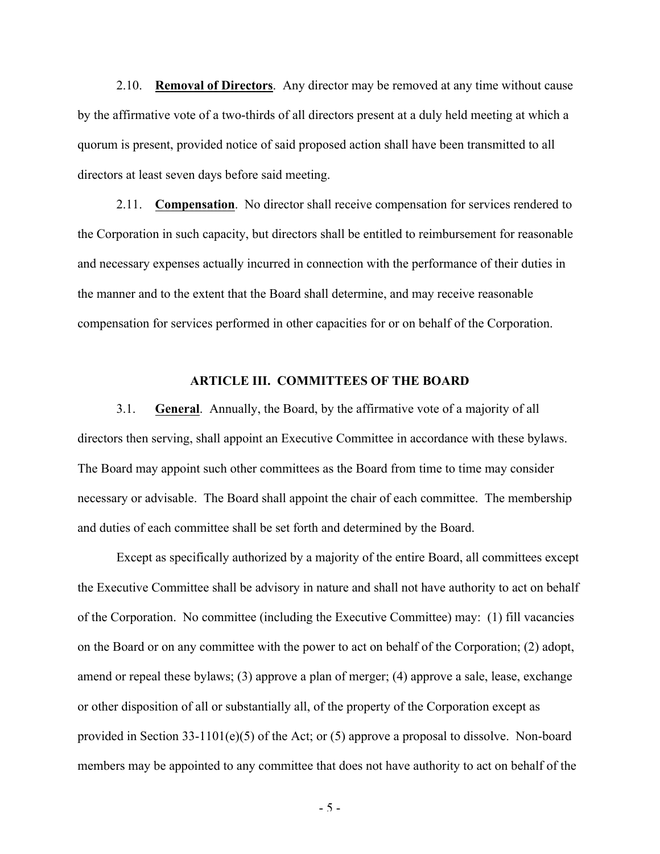2.10. **Removal of Directors**. Any director may be removed at any time without cause by the affirmative vote of a two-thirds of all directors present at a duly held meeting at which a quorum is present, provided notice of said proposed action shall have been transmitted to all directors at least seven days before said meeting.

2.11. **Compensation**. No director shall receive compensation for services rendered to the Corporation in such capacity, but directors shall be entitled to reimbursement for reasonable and necessary expenses actually incurred in connection with the performance of their duties in the manner and to the extent that the Board shall determine, and may receive reasonable compensation for services performed in other capacities for or on behalf of the Corporation.

### **ARTICLE III. COMMITTEES OF THE BOARD**

3.1. **General**. Annually, the Board, by the affirmative vote of a majority of all directors then serving, shall appoint an Executive Committee in accordance with these bylaws. The Board may appoint such other committees as the Board from time to time may consider necessary or advisable. The Board shall appoint the chair of each committee. The membership and duties of each committee shall be set forth and determined by the Board.

Except as specifically authorized by a majority of the entire Board, all committees except the Executive Committee shall be advisory in nature and shall not have authority to act on behalf of the Corporation. No committee (including the Executive Committee) may: (1) fill vacancies on the Board or on any committee with the power to act on behalf of the Corporation; (2) adopt, amend or repeal these bylaws; (3) approve a plan of merger; (4) approve a sale, lease, exchange or other disposition of all or substantially all, of the property of the Corporation except as provided in Section 33-1101(e)(5) of the Act; or (5) approve a proposal to dissolve. Non-board members may be appointed to any committee that does not have authority to act on behalf of the

- 5 -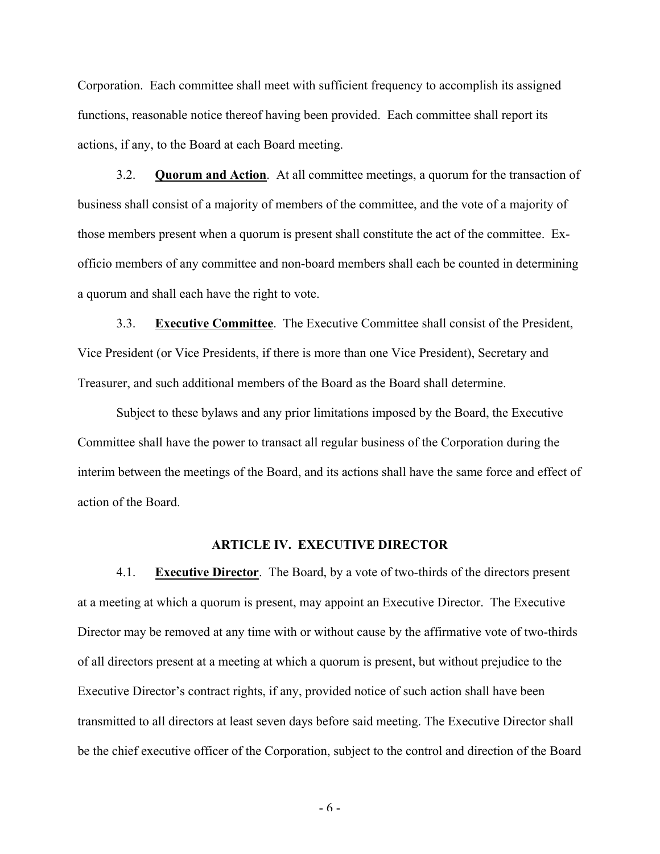Corporation. Each committee shall meet with sufficient frequency to accomplish its assigned functions, reasonable notice thereof having been provided. Each committee shall report its actions, if any, to the Board at each Board meeting.

3.2. **Quorum and Action**. At all committee meetings, a quorum for the transaction of business shall consist of a majority of members of the committee, and the vote of a majority of those members present when a quorum is present shall constitute the act of the committee. Exofficio members of any committee and non-board members shall each be counted in determining a quorum and shall each have the right to vote.

3.3. **Executive Committee**. The Executive Committee shall consist of the President, Vice President (or Vice Presidents, if there is more than one Vice President), Secretary and Treasurer, and such additional members of the Board as the Board shall determine.

Subject to these bylaws and any prior limitations imposed by the Board, the Executive Committee shall have the power to transact all regular business of the Corporation during the interim between the meetings of the Board, and its actions shall have the same force and effect of action of the Board.

#### **ARTICLE IV. EXECUTIVE DIRECTOR**

4.1. **Executive Director**. The Board, by a vote of two-thirds of the directors present at a meeting at which a quorum is present, may appoint an Executive Director. The Executive Director may be removed at any time with or without cause by the affirmative vote of two-thirds of all directors present at a meeting at which a quorum is present, but without prejudice to the Executive Director's contract rights, if any, provided notice of such action shall have been transmitted to all directors at least seven days before said meeting. The Executive Director shall be the chief executive officer of the Corporation, subject to the control and direction of the Board

- 6 -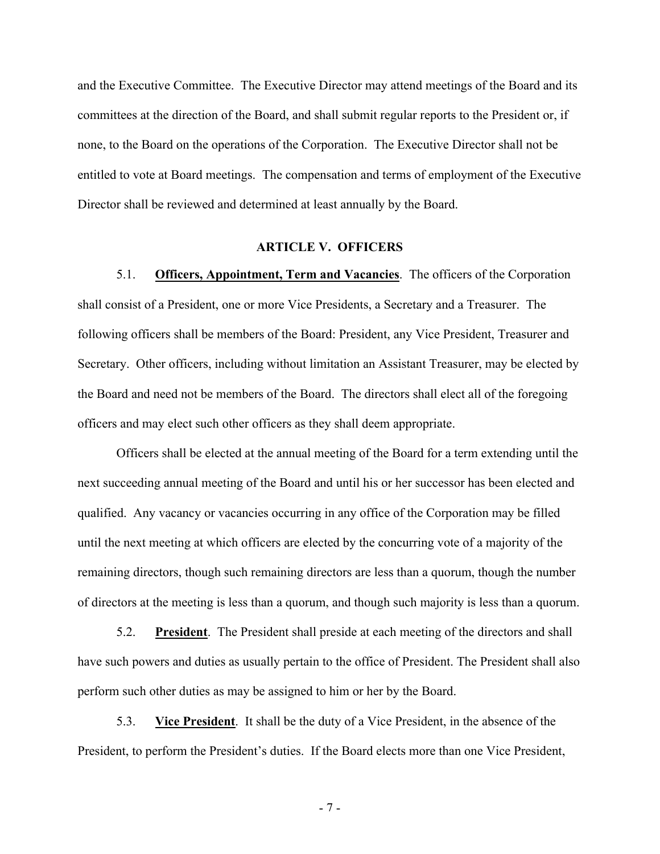and the Executive Committee. The Executive Director may attend meetings of the Board and its committees at the direction of the Board, and shall submit regular reports to the President or, if none, to the Board on the operations of the Corporation. The Executive Director shall not be entitled to vote at Board meetings. The compensation and terms of employment of the Executive Director shall be reviewed and determined at least annually by the Board.

### **ARTICLE V. OFFICERS**

5.1. **Officers, Appointment, Term and Vacancies**. The officers of the Corporation shall consist of a President, one or more Vice Presidents, a Secretary and a Treasurer. The following officers shall be members of the Board: President, any Vice President, Treasurer and Secretary. Other officers, including without limitation an Assistant Treasurer, may be elected by the Board and need not be members of the Board. The directors shall elect all of the foregoing officers and may elect such other officers as they shall deem appropriate.

Officers shall be elected at the annual meeting of the Board for a term extending until the next succeeding annual meeting of the Board and until his or her successor has been elected and qualified. Any vacancy or vacancies occurring in any office of the Corporation may be filled until the next meeting at which officers are elected by the concurring vote of a majority of the remaining directors, though such remaining directors are less than a quorum, though the number of directors at the meeting is less than a quorum, and though such majority is less than a quorum.

5.2. **President**. The President shall preside at each meeting of the directors and shall have such powers and duties as usually pertain to the office of President. The President shall also perform such other duties as may be assigned to him or her by the Board.

5.3. **Vice President**. It shall be the duty of a Vice President, in the absence of the President, to perform the President's duties. If the Board elects more than one Vice President,

- 7 -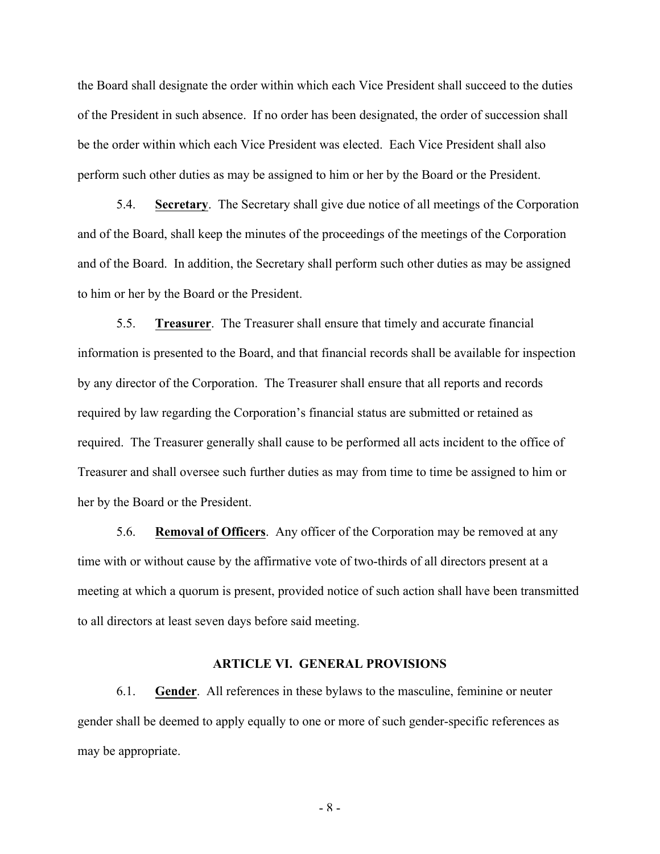the Board shall designate the order within which each Vice President shall succeed to the duties of the President in such absence. If no order has been designated, the order of succession shall be the order within which each Vice President was elected. Each Vice President shall also perform such other duties as may be assigned to him or her by the Board or the President.

5.4. **Secretary**. The Secretary shall give due notice of all meetings of the Corporation and of the Board, shall keep the minutes of the proceedings of the meetings of the Corporation and of the Board. In addition, the Secretary shall perform such other duties as may be assigned to him or her by the Board or the President.

5.5. **Treasurer**. The Treasurer shall ensure that timely and accurate financial information is presented to the Board, and that financial records shall be available for inspection by any director of the Corporation. The Treasurer shall ensure that all reports and records required by law regarding the Corporation's financial status are submitted or retained as required. The Treasurer generally shall cause to be performed all acts incident to the office of Treasurer and shall oversee such further duties as may from time to time be assigned to him or her by the Board or the President.

5.6. **Removal of Officers**. Any officer of the Corporation may be removed at any time with or without cause by the affirmative vote of two-thirds of all directors present at a meeting at which a quorum is present, provided notice of such action shall have been transmitted to all directors at least seven days before said meeting.

#### **ARTICLE VI. GENERAL PROVISIONS**

6.1. **Gender**. All references in these bylaws to the masculine, feminine or neuter gender shall be deemed to apply equally to one or more of such gender-specific references as may be appropriate.

- 8 -